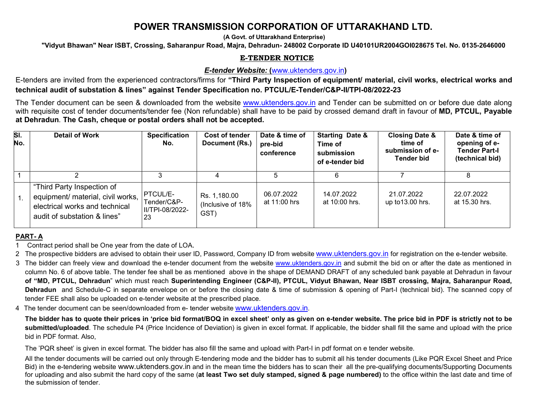# POWER TRANSMISSION CORPORATION OF UTTARAKHAND LTD.

(A Govt. of Uttarakhand Enterprise)

"Vidyut Bhawan" Near ISBT, Crossing, Saharanpur Road, Majra, Dehradun- 248002 Corporate ID U40101UR2004GOI028675 Tel. No. 0135-2646000

### E-TENDER NOTICE

# E-tender Website: (www.uktenders.gov.in)

E-tenders are invited from the experienced contractors/firms for "Third Party Inspection of equipment/ material, civil works, electrical works and technical audit of substation & lines" against Tender Specification no. PTCUL/E-Tender/C&P-II/TPI-08/2022-23

The Tender document can be seen & downloaded from the website www.uktenders.gov.in and Tender can be submitted on or before due date along with requisite cost of tender documents/tender fee (Non refundable) shall have to be paid by crossed demand draft in favour of MD, PTCUL, Payable at Dehradun. The Cash, cheque or postal orders shall not be accepted.

| SI.<br>No.    | <b>Detail of Work</b>                                                                                                             | <b>Specification</b><br>No.                               | <b>Cost of tender</b><br>Document (Rs.)   | Date & time of<br>pre-bid<br>conference | <b>Starting Date &amp;</b><br>Time of<br>submission<br>of e-tender bid | <b>Closing Date &amp;</b><br>time of<br>submission of e-<br>Tender bid | Date & time of<br>opening of e-<br><b>Tender Part-I</b><br>(technical bid) |
|---------------|-----------------------------------------------------------------------------------------------------------------------------------|-----------------------------------------------------------|-------------------------------------------|-----------------------------------------|------------------------------------------------------------------------|------------------------------------------------------------------------|----------------------------------------------------------------------------|
|               |                                                                                                                                   |                                                           |                                           | 5                                       | 6                                                                      |                                                                        |                                                                            |
| $^{\circ}$ 1. | "Third Party Inspection of<br>equipment/ material, civil works,<br>electrical works and technical<br>audit of substation & lines" | <b>PTCUL/E-</b><br>Tender/C&P-<br>III/TPI-08/2022-<br>-23 | Rs. 1,180.00<br>(Inclusive of 18%<br>GST) | 06.07.2022<br>at 11:00 hrs              | 14.07.2022<br>at 10:00 hrs.                                            | 21.07.2022<br>up to $13.00$ hrs.                                       | 22.07.2022<br>at 15.30 hrs.                                                |

#### PART- A

1 Contract period shall be One year from the date of LOA.

2 The prospective bidders are advised to obtain their user ID, Password, Company ID from website www.uktenders.gov.in for registration on the e-tender website.

- 3 The bidder can freely view and download the e-tender document from the website www.uktenders.gov.in and submit the bid on or after the date as mentioned in column No. 6 of above table. The tender fee shall be as mentioned above in the shape of DEMAND DRAFT of any scheduled bank payable at Dehradun in favour of "MD, PTCUL, Dehradun" which must reach Superintending Engineer (C&P-II), PTCUL, Vidyut Bhawan, Near ISBT crossing, Majra, Saharanpur Road, Dehradun and Schedule-C in separate envelope on or before the closing date & time of submission & opening of Part-I (technical bid). The scanned copy of tender FEE shall also be uploaded on e-tender website at the prescribed place.
- 4 The tender document can be seen/downloaded from e- tender website www.uktenders.gov.in.

The bidder has to quote their prices in 'price bid format/BOQ in excel sheet' only as given on e-tender website. The price bid in PDF is strictly not to be submitted/uploaded. The schedule P4 (Price Incidence of Deviation) is given in excel format. If applicable, the bidder shall fill the same and upload with the price bid in PDF format. Also,

The 'PQR sheet' is given in excel format. The bidder has also fill the same and upload with Part-I in pdf format on e tender website.

All the tender documents will be carried out only through E-tendering mode and the bidder has to submit all his tender documents (Like PQR Excel Sheet and Price Bid) in the e-tendering website www.uktenders.gov.in and in the mean time the bidders has to scan their all the pre-qualifying documents/Supporting Documents for uploading and also submit the hard copy of the same (at least Two set duly stamped, signed & page numbered) to the office within the last date and time of the submission of tender.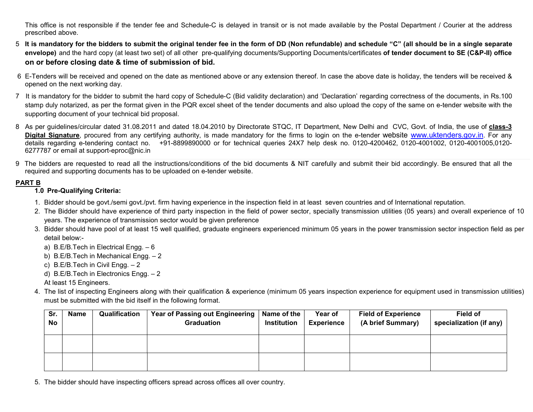This office is not responsible if the tender fee and Schedule-C is delayed in transit or is not made available by the Postal Department / Courier at the address prescribed above.

- 5 It is mandatory for the bidders to submit the original tender fee in the form of DD (Non refundable) and schedule "C" (all should be in a single separate envelope) and the hard copy (at least two set) of all other pre-qualifying documents/Supporting Documents/certificates of tender document to SE (C&P-II) office on or before closing date & time of submission of bid.
- 6 E-Tenders will be received and opened on the date as mentioned above or any extension thereof. In case the above date is holiday, the tenders will be received & opened on the next working day.
- 7 It is mandatory for the bidder to submit the hard copy of Schedule-C (Bid validity declaration) and 'Declaration' regarding correctness of the documents, in Rs.100 stamp duly notarized, as per the format given in the PQR excel sheet of the tender documents and also upload the copy of the same on e-tender website with the supporting document of your technical bid proposal.
- 8 As per guidelines/circular dated 31.08.2011 and dated 18.04.2010 by Directorate STQC, IT Department, New Delhi and CVC, Govt. of India, the use of class-3 Digital Signature, procured from any certifying authority, is made mandatory for the firms to login on the e-tender website www.uktenders.gov.in. For any details regarding e-tendering contact no. +91-8899890000 or for technical queries 24X7 help desk no. 0120-4200462, 0120-4001002, 0120-4001005,0120- 6277787 or email at support-eproc@nic.in
- 9 The bidders are requested to read all the instructions/conditions of the bid documents & NIT carefully and submit their bid accordingly. Be ensured that all the required and supporting documents has to be uploaded on e-tender website.

#### PART B

# 1.0 Pre-Qualifying Criteria:

- 1. Bidder should be govt./semi govt./pvt. firm having experience in the inspection field in at least seven countries and of International reputation.
- 2. The Bidder should have experience of third party inspection in the field of power sector, specially transmission utilities (05 years) and overall experience of 10 years. The experience of transmission sector would be given preference
- 3. Bidder should have pool of at least 15 well qualified, graduate engineers experienced minimum 05 years in the power transmission sector inspection field as per detail below:
	- a) B.E/B.Tech in Electrical Engg. 6
	- b) B.E/B.Tech in Mechanical Engg. 2
	- c) B.E/B.Tech in Civil Engg. 2
	- d) B.E/B.Tech in Electronics Engg. 2
	- At least 15 Engineers.
- 4. The list of inspecting Engineers along with their qualification & experience (minimum 05 years inspection experience for equipment used in transmission utilities) must be submitted with the bid itself in the following format.

| Sr.<br>No | <b>Name</b> | Qualification | <b>Year of Passing out Engineering</b><br>Graduation | Name of the<br><b>Institution</b> | Year of<br><b>Experience</b> | <b>Field of Experience</b><br>(A brief Summary) | <b>Field of</b><br>specialization (if any) |
|-----------|-------------|---------------|------------------------------------------------------|-----------------------------------|------------------------------|-------------------------------------------------|--------------------------------------------|
|           |             |               |                                                      |                                   |                              |                                                 |                                            |
|           |             |               |                                                      |                                   |                              |                                                 |                                            |

5. The bidder should have inspecting officers spread across offices all over country.